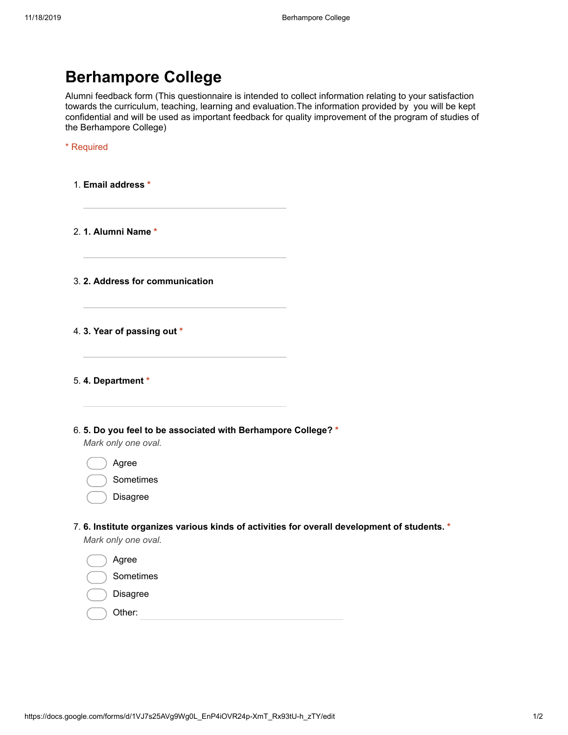| <b>Berhampore College</b> |  |
|---------------------------|--|
|---------------------------|--|

Alumni feedback form (This questionnaire is intended to collect information relating to your satisfaction towards the curriculum, teaching, learning and evaluation.The information provided by you will be kept confidential and will be used as important feedback for quality improvement of the program of studies of the Berhampore College)

| Required |  |  |  |
|----------|--|--|--|
|          |  |  |  |

1. Email address \*

2. 1. Alumni Name \*

3. 2. Address for communication

4. 3. Year of passing out \*

5. 4. Department \*

6. 5. Do you feel to be associated with Berhampore College? \*

Mark only one oval.

Agree

| Sometimes |
|-----------|
|           |

Disagree

## 7. 6. Institute organizes various kinds of activities for overall development of students. \*

Mark only one oval.

| Agree           |
|-----------------|
| Sometimes       |
| <b>Disagree</b> |
| Other:          |
|                 |